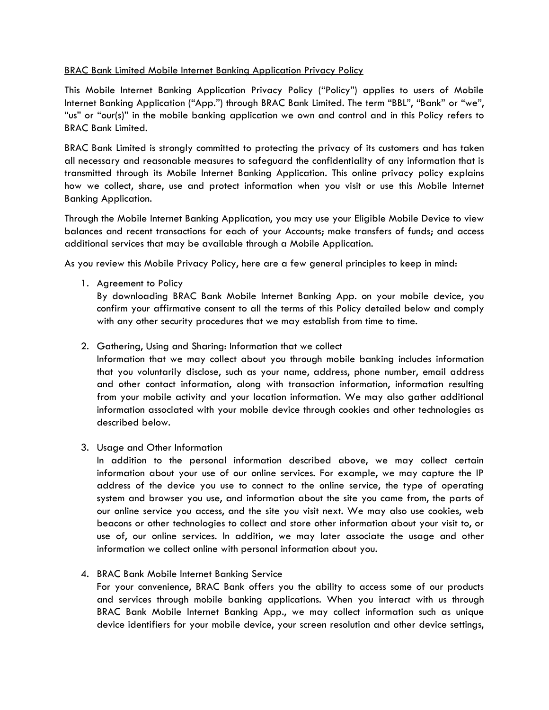### BRAC Bank Limited Mobile Internet Banking Application Privacy Policy

This Mobile Internet Banking Application Privacy Policy ("Policy") applies to users of Mobile Internet Banking Application ("App.") through BRAC Bank Limited. The term "BBL", "Bank" or "we", "us" or "our(s)" in the mobile banking application we own and control and in this Policy refers to BRAC Bank Limited.

BRAC Bank Limited is strongly committed to protecting the privacy of its customers and has taken all necessary and reasonable measures to safeguard the confidentiality of any information that is transmitted through its Mobile Internet Banking Application. This online privacy policy explains how we collect, share, use and protect information when you visit or use this Mobile Internet Banking Application.

Through the Mobile Internet Banking Application, you may use your Eligible Mobile Device to view balances and recent transactions for each of your Accounts; make transfers of funds; and access additional services that may be available through a Mobile Application.

As you review this Mobile Privacy Policy, here are a few general principles to keep in mind:

1. Agreement to Policy

By downloading BRAC Bank Mobile Internet Banking App. on your mobile device, you confirm your affirmative consent to all the terms of this Policy detailed below and comply with any other security procedures that we may establish from time to time.

# 2. Gathering, Using and Sharing: Information that we collect

Information that we may collect about you through mobile banking includes information that you voluntarily disclose, such as your name, address, phone number, email address and other contact information, along with transaction information, information resulting from your mobile activity and your location information. We may also gather additional information associated with your mobile device through cookies and other technologies as described below.

3. Usage and Other Information

In addition to the personal information described above, we may collect certain information about your use of our online services. For example, we may capture the IP address of the device you use to connect to the online service, the type of operating system and browser you use, and information about the site you came from, the parts of our online service you access, and the site you visit next. We may also use cookies, web beacons or other technologies to collect and store other information about your visit to, or use of, our online services. In addition, we may later associate the usage and other information we collect online with personal information about you.

4. BRAC Bank Mobile Internet Banking Service

For your convenience, BRAC Bank offers you the ability to access some of our products and services through mobile banking applications. When you interact with us through BRAC Bank Mobile Internet Banking App., we may collect information such as unique device identifiers for your mobile device, your screen resolution and other device settings,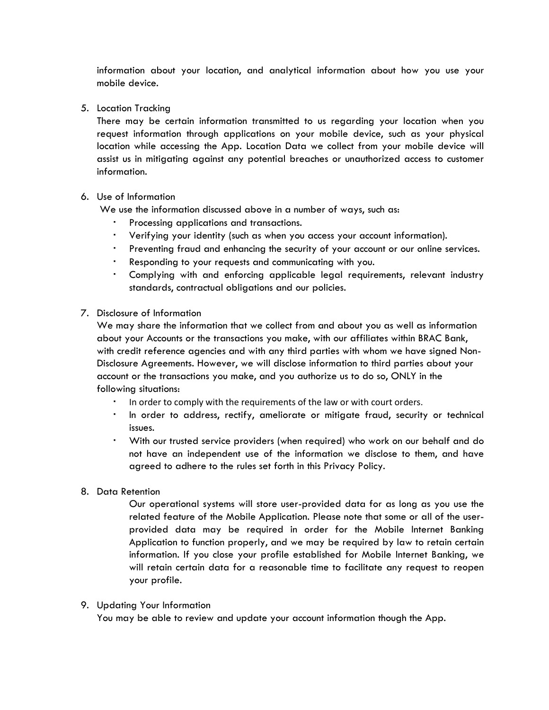information about your location, and analytical information about how you use your mobile device.

5. Location Tracking

There may be certain information transmitted to us regarding your location when you request information through applications on your mobile device, such as your physical location while accessing the App. Location Data we collect from your mobile device will assist us in mitigating against any potential breaches or unauthorized access to customer information.

### 6. Use of Information

We use the information discussed above in a number of ways, such as:

- Processing applications and transactions.
- Verifying your identity (such as when you access your account information).
- Preventing fraud and enhancing the security of your account or our online services.
- Responding to your requests and communicating with you.
- Complying with and enforcing applicable legal requirements, relevant industry standards, contractual obligations and our policies.
- 7. Disclosure of Information

We may share the information that we collect from and about you as well as information about your Accounts or the transactions you make, with our affiliates within BRAC Bank, with credit reference agencies and with any third parties with whom we have signed Non-Disclosure Agreements. However, we will disclose information to third parties about your account or the transactions you make, and you authorize us to do so, ONLY in the following situations:

- In order to comply with the requirements of the law or with court orders.
- In order to address, rectify, ameliorate or mitigate fraud, security or technical issues.
- With our trusted service providers (when required) who work on our behalf and do not have an independent use of the information we disclose to them, and have agreed to adhere to the rules set forth in this Privacy Policy.
- 8. Data Retention

Our operational systems will store user-provided data for as long as you use the related feature of the Mobile Application. Please note that some or all of the userprovided data may be required in order for the Mobile Internet Banking Application to function properly, and we may be required by law to retain certain information. If you close your profile established for Mobile Internet Banking, we will retain certain data for a reasonable time to facilitate any request to reopen your profile.

9. Updating Your Information

You may be able to review and update your account information though the App.